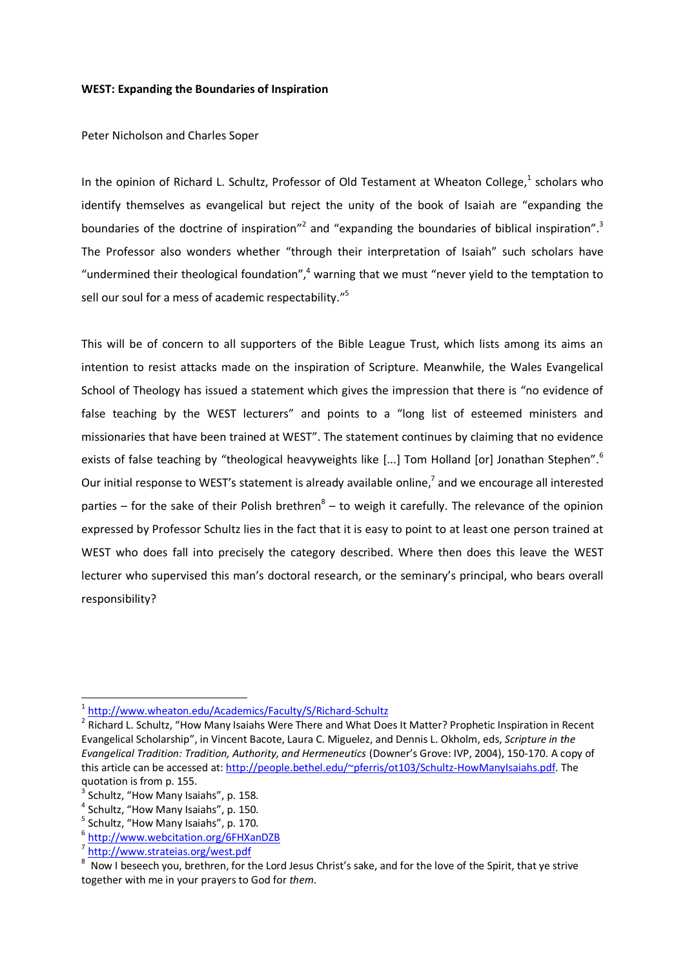## **WEST: Expanding the Boundaries of Inspiration**

Peter Nicholson and Charles Soper

In the opinion of Richard L. Schultz, Professor of Old Testament at Wheaton College,<sup>1</sup> scholars who identify themselves as evangelical but reject the unity of the book of Isaiah are "expanding the boundaries of the doctrine of inspiration"<sup>2</sup> and "expanding the boundaries of biblical inspiration".<sup>3</sup> The Professor also wonders whether "through their interpretation of Isaiah" such scholars have "undermined their theological foundation",<sup>4</sup> warning that we must "never yield to the temptation to sell our soul for a mess of academic respectability."<sup>5</sup>

This will be of concern to all supporters of the Bible League Trust, which lists among its aims an intention to resist attacks made on the inspiration of Scripture. Meanwhile, the Wales Evangelical School of Theology has issued a statement which gives the impression that there is "no evidence of false teaching by the WEST lecturers" and points to a "long list of esteemed ministers and missionaries that have been trained at WEST". The statement continues by claiming that no evidence exists of false teaching by "theological heavyweights like [...] Tom Holland [or] Jonathan Stephen".<sup>6</sup> Our initial response to WEST's statement is already available online,<sup>7</sup> and we encourage all interested parties  $-$  for the sake of their Polish brethren $8 -$  to weigh it carefully. The relevance of the opinion expressed by Professor Schultz lies in the fact that it is easy to point to at least one person trained at WEST who does fall into precisely the category described. Where then does this leave the WEST lecturer who supervised this man's doctoral research, or the seminary's principal, who bears overall responsibility?

nder<br>1 <http://www.wheaton.edu/Academics/Faculty/S/Richard-Schultz>

<sup>&</sup>lt;sup>2</sup> Richard L. Schultz, "How Many Isaiahs Were There and What Does It Matter? Prophetic Inspiration in Recent Evangelical Scholarship", in Vincent Bacote, Laura C. Miguelez, and Dennis L. Okholm, eds, *Scripture in the Evangelical Tradition: Tradition, Authority, and Hermeneutics* (Downer's Grove: IVP, 2004), 150-170. A copy of this article can be accessed at[: http://people.bethel.edu/~pferris/ot103/Schultz-HowManyIsaiahs.pdf.](http://people.bethel.edu/~pferris/ot103/Schultz-HowManyIsaiahs.pdf) The quotation is from p. 155.

 $3$  Schultz, "How Many Isaiahs", p. 158.

<sup>&</sup>lt;sup>4</sup> Schultz, "How Many Isaiahs", p. 150.

<sup>&</sup>lt;sup>5</sup> Schultz, "How Many Isaiahs", p. 170.

<sup>6</sup> <http://www.webcitation.org/6FHXanDZB>

<sup>&</sup>lt;sup>7</sup> <http://www.strateias.org/west.pdf>

 $8$  Now I beseech you, brethren, for the Lord Jesus Christ's sake, and for the love of the Spirit, that ye strive together with me in your prayers to God for *them*.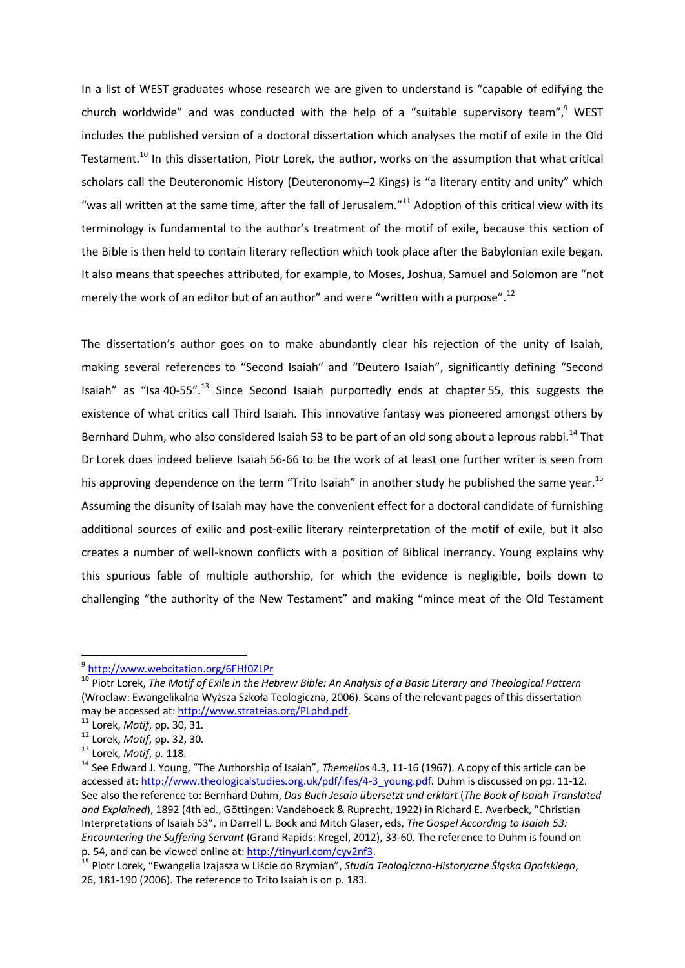In a list of WEST graduates whose research we are given to understand is "capable of edifying the church worldwide" and was conducted with the help of a "suitable supervisory team",<sup>9</sup> WEST includes the published version of a doctoral dissertation which analyses the motif of exile in the Old Testament.<sup>10</sup> In this dissertation, Piotr Lorek, the author, works on the assumption that what critical scholars call the Deuteronomic History (Deuteronomy-2 Kings) is "a literary entity and unity" which "was all written at the same time, after the fall of Jerusalem." $^{11}$  Adoption of this critical view with its terminology is fundamental to the author's treatment of the motif of exile, because this section of the Bible is then held to contain literary reflection which took place after the Babylonian exile began. It also means that speeches attributed, for example, to Moses, Joshua, Samuel and Solomon are "not merely the work of an editor but of an author" and were "written with a purpose".<sup>12</sup>

The dissertation's author goes on to make abundantly clear his rejection of the unity of Isaiah, making several references to "Second Isaiah" and "Deutero Isaiah", significantly defining "Second Isaiah" as "Isa 40-55".<sup>13</sup> Since Second Isaiah purportedly ends at chapter 55, this suggests the existence of what critics call Third Isaiah. This innovative fantasy was pioneered amongst others by Bernhard Duhm, who also considered Isaiah 53 to be part of an old song about a leprous rabbi.<sup>14</sup> That Dr Lorek does indeed believe Isaiah 56-66 to be the work of at least one further writer is seen from his approving dependence on the term "Trito Isaiah" in another study he published the same year.<sup>15</sup> Assuming the disunity of Isaiah may have the convenient effect for a doctoral candidate of furnishing additional sources of exilic and post-exilic literary reinterpretation of the motif of exile, but it also creates a number of well-known conflicts with a position of Biblical inerrancy. Young explains why this spurious fable of multiple authorship, for which the evidence is negligible, boils down to challenging "the authority of the New Testament" and making "mince meat of the Old Testament

1

<sup>9</sup> <http://www.webcitation.org/6FHf0ZLPr>

<sup>10</sup> Piotr Lorek, *The Motif of Exile in the Hebrew Bible: An Analysis of a Basic Literary and Theological Pattern* (Wroclaw: Ewangelikalna Wyższa Szkoła Teologiczna, 2006). Scans of the relevant pages of this dissertation may be accessed at[: http://www.strateias.org/PLphd.pdf.](http://www.strateias.org/PLphd.pdf)

<sup>11</sup> Lorek, *Motif*, pp. 30, 31.

<sup>12</sup> Lorek, *Motif*, pp. 32, 30.

<sup>13</sup> Lorek, *Motif*, p. 118.

<sup>14</sup> See Edward J. Young, "The Authorship of Isaiah", *Themelios* 4.3, 11-16 (1967). A copy of this article can be accessed at[: http://www.theologicalstudies.org.uk/pdf/ifes/4-3\\_young.pdf.](http://www.theologicalstudies.org.uk/pdf/ifes/4-3_young.pdf) Duhm is discussed on pp. 11-12. See also the reference to: Bernhard Duhm, *Das Buch Jesaia übersetzt und erklärt* (*The Book of Isaiah Translated and Explained*), 1892 (4th ed., Göttingen: Vandehoeck & Ruprecht, 1922) in Richard E. Averbeck, "Christian Interpretations of Isaiah 53", in Darrell L. Bock and Mitch Glaser, eds, *The Gospel According to Isaiah 53: Encountering the Suffering Servant* (Grand Rapids: Kregel, 2012), 33-60. The reference to Duhm is found on p. 54, and can be viewed online at[: http://tinyurl.com/cyv2nf3.](http://tinyurl.com/cyv2nf3)

<sup>15</sup> Piotr Lorek, "Ewangelia Izajasza w Liście do Rzymian", *Studia Teologiczno-Historyczne Śląska Opolskiego*, 26, 181-190 (2006). The reference to Trito Isaiah is on p. 183.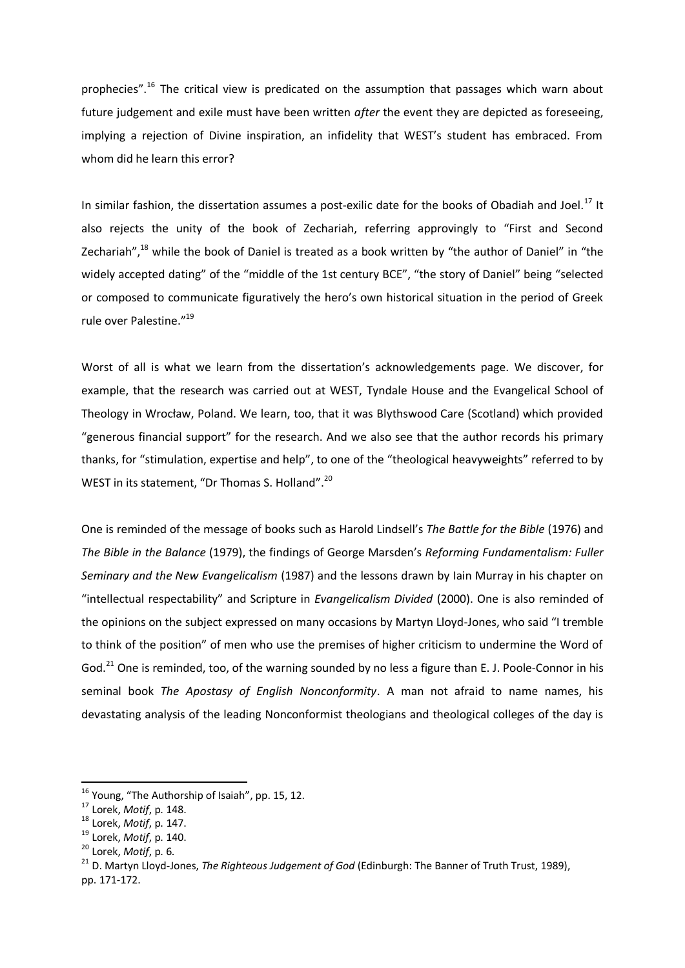prophecies".<sup>16</sup> The critical view is predicated on the assumption that passages which warn about future judgement and exile must have been written *after* the event they are depicted as foreseeing, implying a rejection of Divine inspiration, an infidelity that WEST's student has embraced. From whom did he learn this error?

In similar fashion, the dissertation assumes a post-exilic date for the books of Obadiah and Joel.<sup>17</sup> It also rejects the unity of the book of Zechariah, referring approvingly to "First and Second Zechariah",<sup>18</sup> while the book of Daniel is treated as a book written by "the author of Daniel" in "the widely accepted dating" of the "middle of the 1st century BCE", "the story of Daniel" being "selected or composed to communicate figuratively the hero's own historical situation in the period of Greek rule over Palestine."<sup>19</sup>

Worst of all is what we learn from the dissertation's acknowledgements page. We discover, for example, that the research was carried out at WEST, Tyndale House and the Evangelical School of Theology in Wrocław, Poland. We learn, too, that it was Blythswood Care (Scotland) which provided "generous financial support" for the research. And we also see that the author records his primary thanks, for "stimulation, expertise and help", to one of the "theological heavyweights" referred to by WEST in its statement, "Dr Thomas S. Holland".<sup>20</sup>

One is reminded of the message of books such as Harold Lindsell's *The Battle for the Bible* (1976) and *The Bible in the Balance* (1979), the findings of George Marsden's *Reforming Fundamentalism: Fuller Seminary and the New Evangelicalism* (1987) and the lessons drawn by Iain Murray in his chapter on "intellectual respectability" and Scripture in *Evangelicalism Divided* (2000). One is also reminded of the opinions on the subject expressed on many occasions by Martyn Lloyd-Jones, who said "I tremble to think of the position" of men who use the premises of higher criticism to undermine the Word of God.<sup>21</sup> One is reminded, too, of the warning sounded by no less a figure than E. J. Poole-Connor in his seminal book *The Apostasy of English Nonconformity*. A man not afraid to name names, his devastating analysis of the leading Nonconformist theologians and theological colleges of the day is

**.** 

 $16$  Young, "The Authorship of Isaiah", pp. 15, 12.

<sup>17</sup> Lorek, *Motif*, p. 148.

<sup>18</sup> Lorek, *Motif*, p. 147.

<sup>19</sup> Lorek, *Motif*, p. 140.

<sup>20</sup> Lorek, *Motif*, p. 6.

<sup>&</sup>lt;sup>21</sup> D. Martyn Lloyd-Jones, *The Righteous Judgement of God* (Edinburgh: The Banner of Truth Trust, 1989), pp. 171-172.